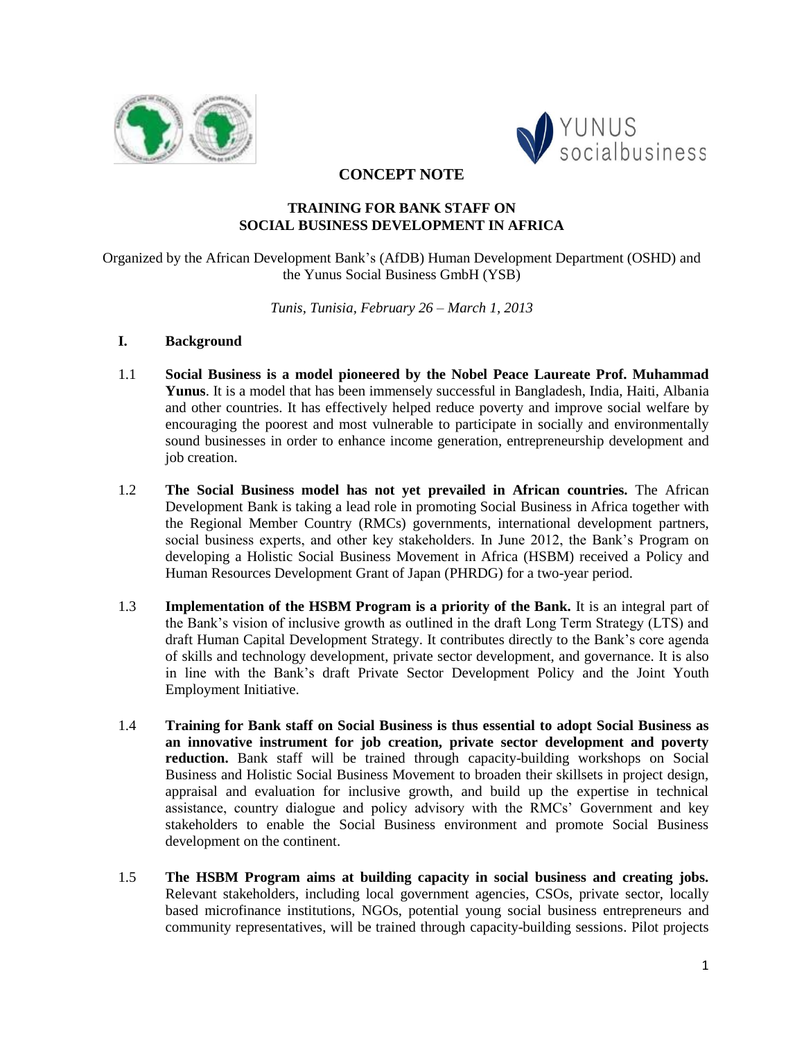



**CONCEPT NOTE**

## **TRAINING FOR BANK STAFF ON SOCIAL BUSINESS DEVELOPMENT IN AFRICA**

Organized by the African Development Bank's (AfDB) Human Development Department (OSHD) and the Yunus Social Business GmbH (YSB)

*Tunis, Tunisia, February 26 – March 1, 2013*

## **I. Background**

- 1.1 **Social Business is a model pioneered by the Nobel Peace Laureate Prof. Muhammad Yunus**. It is a model that has been immensely successful in Bangladesh, India, Haiti, Albania and other countries. It has effectively helped reduce poverty and improve social welfare by encouraging the poorest and most vulnerable to participate in socially and environmentally sound businesses in order to enhance income generation, entrepreneurship development and job creation.
- 1.2 **The Social Business model has not yet prevailed in African countries.** The African Development Bank is taking a lead role in promoting Social Business in Africa together with the Regional Member Country (RMCs) governments, international development partners, social business experts, and other key stakeholders. In June 2012, the Bank's Program on developing a Holistic Social Business Movement in Africa (HSBM) received a Policy and Human Resources Development Grant of Japan (PHRDG) for a two-year period.
- 1.3 **Implementation of the HSBM Program is a priority of the Bank.** It is an integral part of the Bank's vision of inclusive growth as outlined in the draft Long Term Strategy (LTS) and draft Human Capital Development Strategy. It contributes directly to the Bank's core agenda of skills and technology development, private sector development, and governance. It is also in line with the Bank's draft Private Sector Development Policy and the Joint Youth Employment Initiative.
- 1.4 **Training for Bank staff on Social Business is thus essential to adopt Social Business as an innovative instrument for job creation, private sector development and poverty reduction.** Bank staff will be trained through capacity-building workshops on Social Business and Holistic Social Business Movement to broaden their skillsets in project design, appraisal and evaluation for inclusive growth, and build up the expertise in technical assistance, country dialogue and policy advisory with the RMCs' Government and key stakeholders to enable the Social Business environment and promote Social Business development on the continent.
- 1.5 **The HSBM Program aims at building capacity in social business and creating jobs.**  Relevant stakeholders, including local government agencies, CSOs, private sector, locally based microfinance institutions, NGOs, potential young social business entrepreneurs and community representatives, will be trained through capacity-building sessions. Pilot projects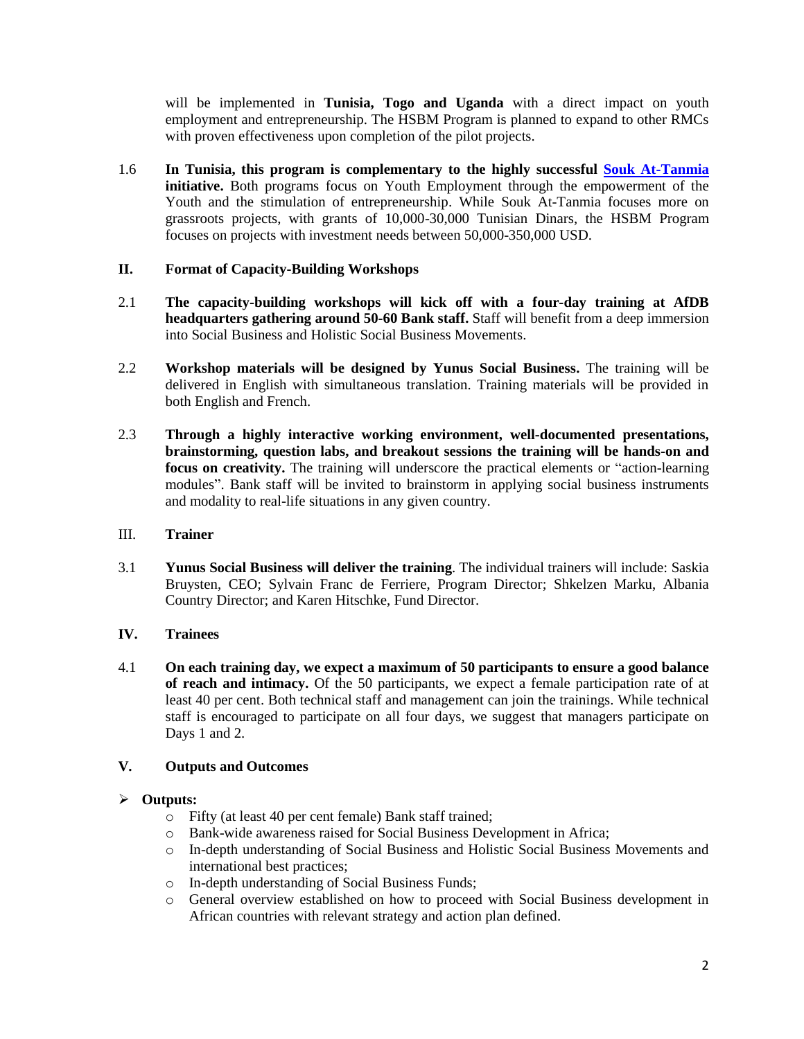will be implemented in **Tunisia, Togo and Uganda** with a direct impact on youth employment and entrepreneurship. The HSBM Program is planned to expand to other RMCs with proven effectiveness upon completion of the pilot projects.

1.6 **In Tunisia, this program is complementary to the highly successful [Souk At-Tanmia](http://www.afdb.org/en/news-and-events/article/souk-at-tanmia-celebrates-inclusive-and-sustainable-employment-with-a-new-generation-of-talented-entrepreneurs-in-tunisia-10196/) initiative.** Both programs focus on Youth Employment through the empowerment of the Youth and the stimulation of entrepreneurship. While Souk At-Tanmia focuses more on grassroots projects, with grants of 10,000-30,000 Tunisian Dinars, the HSBM Program focuses on projects with investment needs between 50,000-350,000 USD.

## **II. Format of Capacity-Building Workshops**

- 2.1 **The capacity-building workshops will kick off with a four-day training at AfDB headquarters gathering around 50-60 Bank staff.** Staff will benefit from a deep immersion into Social Business and Holistic Social Business Movements.
- 2.2 **Workshop materials will be designed by Yunus Social Business.** The training will be delivered in English with simultaneous translation. Training materials will be provided in both English and French.
- 2.3 **Through a highly interactive working environment, well-documented presentations, brainstorming, question labs, and breakout sessions the training will be hands-on and focus on creativity.** The training will underscore the practical elements or "action-learning modules". Bank staff will be invited to brainstorm in applying social business instruments and modality to real-life situations in any given country.

## III. **Trainer**

3.1 **Yunus Social Business will deliver the training**. The individual trainers will include: Saskia Bruysten, CEO; Sylvain Franc de Ferriere, Program Director; Shkelzen Marku, Albania Country Director; and Karen Hitschke, Fund Director.

# **IV. Trainees**

4.1 **On each training day, we expect a maximum of 50 participants to ensure a good balance of reach and intimacy.** Of the 50 participants, we expect a female participation rate of at least 40 per cent. Both technical staff and management can join the trainings. While technical staff is encouraged to participate on all four days, we suggest that managers participate on Days 1 and 2.

# **V. Outputs and Outcomes**

## **Outputs:**

- o Fifty (at least 40 per cent female) Bank staff trained;
- o Bank-wide awareness raised for Social Business Development in Africa;
- o In-depth understanding of Social Business and Holistic Social Business Movements and international best practices;
- o In-depth understanding of Social Business Funds;
- o General overview established on how to proceed with Social Business development in African countries with relevant strategy and action plan defined.